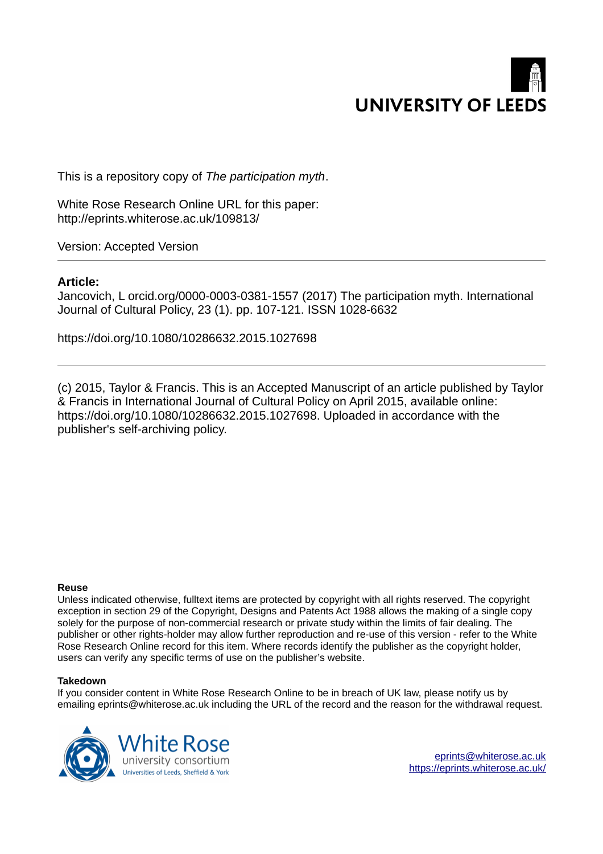

This is a repository copy of *The participation myth*.

White Rose Research Online URL for this paper: http://eprints.whiterose.ac.uk/109813/

Version: Accepted Version

# **Article:**

Jancovich, L orcid.org/0000-0003-0381-1557 (2017) The participation myth. International Journal of Cultural Policy, 23 (1). pp. 107-121. ISSN 1028-6632

https://doi.org/10.1080/10286632.2015.1027698

(c) 2015, Taylor & Francis. This is an Accepted Manuscript of an article published by Taylor & Francis in International Journal of Cultural Policy on April 2015, available online: https://doi.org/10.1080/10286632.2015.1027698. Uploaded in accordance with the publisher's self-archiving policy.

#### **Reuse**

Unless indicated otherwise, fulltext items are protected by copyright with all rights reserved. The copyright exception in section 29 of the Copyright, Designs and Patents Act 1988 allows the making of a single copy solely for the purpose of non-commercial research or private study within the limits of fair dealing. The publisher or other rights-holder may allow further reproduction and re-use of this version - refer to the White Rose Research Online record for this item. Where records identify the publisher as the copyright holder, users can verify any specific terms of use on the publisher's website.

#### **Takedown**

If you consider content in White Rose Research Online to be in breach of UK law, please notify us by emailing eprints@whiterose.ac.uk including the URL of the record and the reason for the withdrawal request.



[eprints@whiterose.ac.uk](mailto:eprints@whiterose.ac.uk) <https://eprints.whiterose.ac.uk/>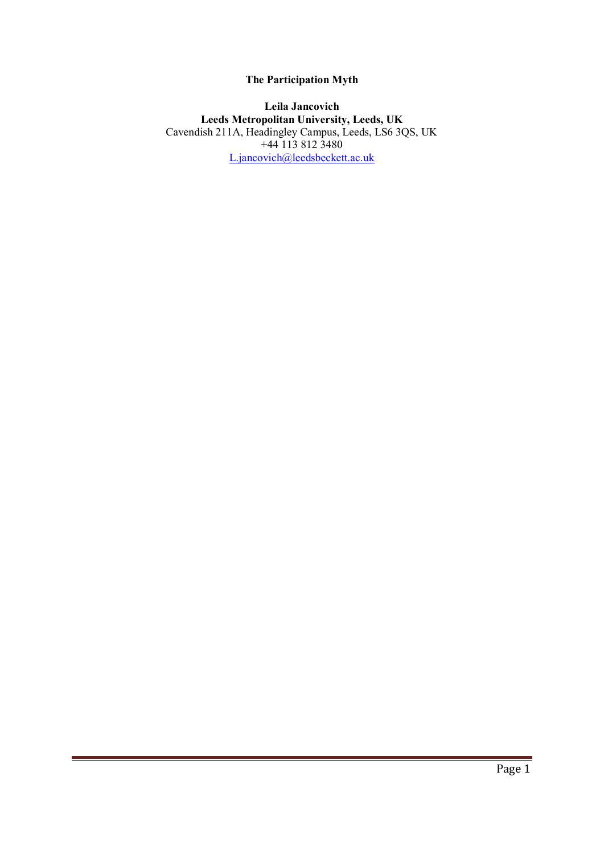# **The Participation Myth**

### **Leila Jancovich Leeds Metropolitan University, Leeds, UK**  Cavendish 211A, Headingley Campus, Leeds, LS6 3QS, UK +44 113 812 3480 [L.jancovich@leedsbeckett.ac.uk](mailto:L.jancovich@leedsmet.ac.uk)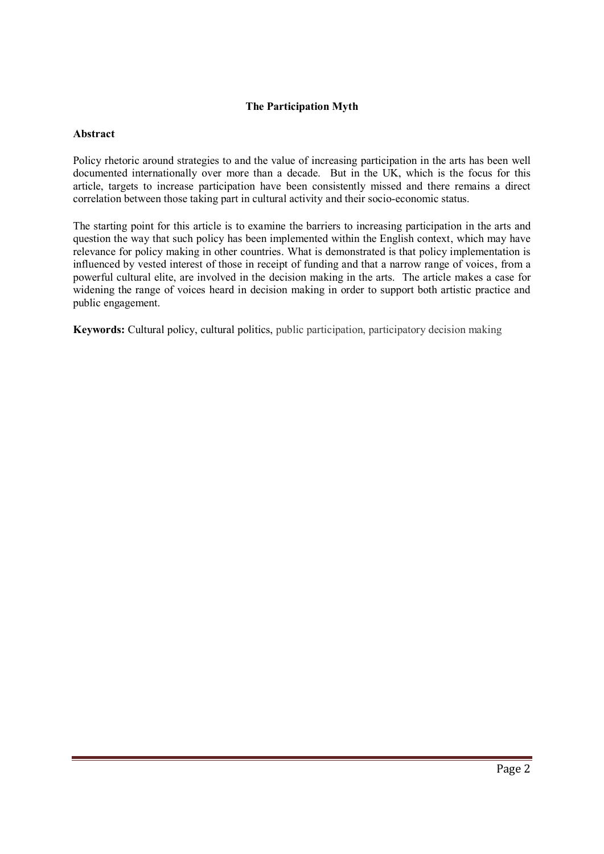## **The Participation Myth**

#### **Abstract**

Policy rhetoric around strategies to and the value of increasing participation in the arts has been well documented internationally over more than a decade. But in the UK, which is the focus for this article, targets to increase participation have been consistently missed and there remains a direct correlation between those taking part in cultural activity and their socio-economic status.

The starting point for this article is to examine the barriers to increasing participation in the arts and question the way that such policy has been implemented within the English context, which may have relevance for policy making in other countries. What is demonstrated is that policy implementation is influenced by vested interest of those in receipt of funding and that a narrow range of voices, from a powerful cultural elite, are involved in the decision making in the arts. The article makes a case for widening the range of voices heard in decision making in order to support both artistic practice and public engagement.

**Keywords:** Cultural policy, cultural politics, public participation, participatory decision making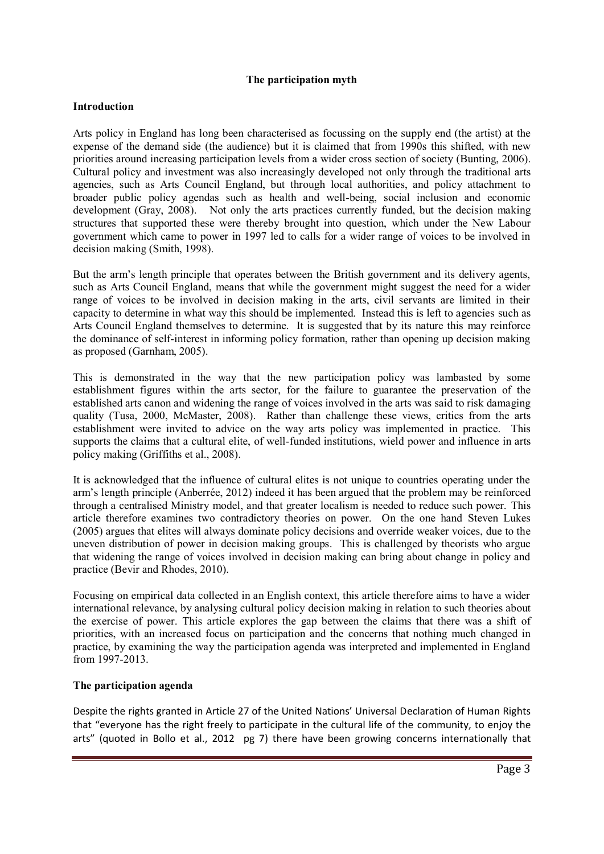### **The participation myth**

### **Introduction**

Arts policy in England has long been characterised as focussing on the supply end (the artist) at the expense of the demand side (the audience) but it is claimed that from 1990s this shifted, with new priorities around increasing participation levels from a wider cross section of society [\(Bunting, 2006\)](#page-13-0). Cultural policy and investment was also increasingly developed not only through the traditional arts agencies, such as Arts Council England, but through local authorities, and policy attachment to broader public policy agendas such as health and well-being, social inclusion and economic development [\(Gray, 2008\)](#page-14-0). Not only the arts practices currently funded, but the decision making structures that supported these were thereby brought into question, which under the New Labour government which came to power in 1997 led to calls for a wider range of voices to be involved in decision making [\(Smith, 1998\)](#page-15-0).

But the arm's length principle that operates between the British government and its delivery agents, such as Arts Council England, means that while the government might suggest the need for a wider range of voices to be involved in decision making in the arts, civil servants are limited in their capacity to determine in what way this should be implemented. Instead this is left to agencies such as Arts Council England themselves to determine. It is suggested that by its nature this may reinforce the dominance of self-interest in informing policy formation, rather than opening up decision making as proposed [\(Garnham, 2005\)](#page-14-1).

This is demonstrated in the way that the new participation policy was lambasted by some establishment figures within the arts sector, for the failure to guarantee the preservation of the established arts canon and widening the range of voices involved in the arts was said to risk damaging quality [\(Tusa, 2000,](#page-16-0) [McMaster, 2008\)](#page-15-1). Rather than challenge these views, critics from the arts establishment were invited to advice on the way arts policy was implemented in practice. This supports the claims that a cultural elite, of well-funded institutions, wield power and influence in arts policy making [\(Griffiths et al., 2008\)](#page-14-2).

It is acknowledged that the influence of cultural elites is not unique to countries operating under the arm's length principle [\(Anberrée, 2012\)](#page-12-0) indeed it has been argued that the problem may be reinforced through a centralised Ministry model, and that greater localism is needed to reduce such power. This article therefore examines two contradictory theories on power. On the one hand Steven Lukes [\(2005\)](#page-15-2) argues that elites will always dominate policy decisions and override weaker voices, due to the uneven distribution of power in decision making groups. This is challenged by theorists who argue that widening the range of voices involved in decision making can bring about change in policy and practice [\(Bevir and Rhodes, 2010\)](#page-13-1).

Focusing on empirical data collected in an English context, this article therefore aims to have a wider international relevance, by analysing cultural policy decision making in relation to such theories about the exercise of power. This article explores the gap between the claims that there was a shift of priorities, with an increased focus on participation and the concerns that nothing much changed in practice, by examining the way the participation agenda was interpreted and implemented in England from 1997-2013.

### **The participation agenda**

Despite the rights granted in Article 27 of the United Nations' Universal Declaration of Human Rights that "everyone has the right freely to participate in the cultural life of the community, to enjoy the arts" [\(quoted in Bollo et al., 2012 pg 7\)](#page-13-2) there have been growing concerns internationally that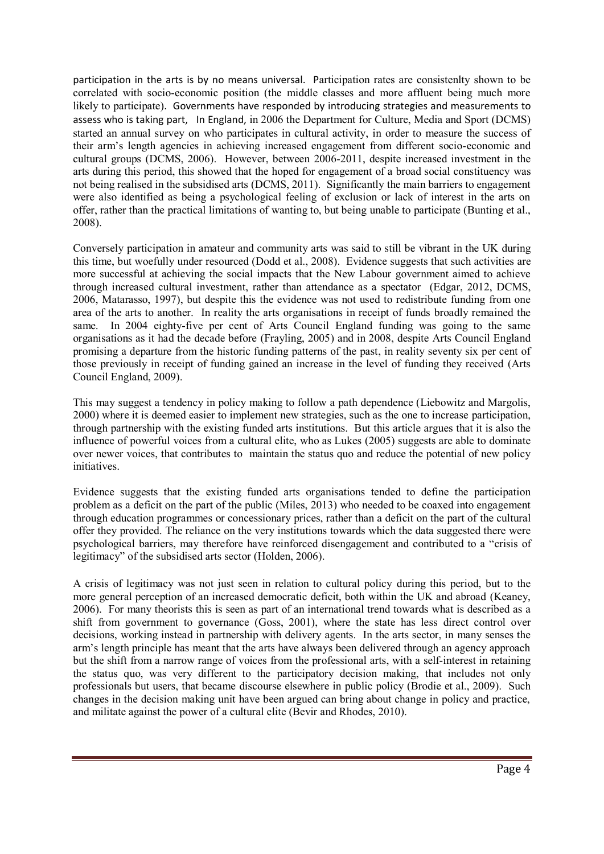participation in the arts is by no means universal. Participation rates are consistenlty shown to be correlated with socio-economic position (the middle classes and more affluent being much more likely to participate). Governments have responded by introducing strategies and measurements to assess who is taking part, In England, in 2006 the Department for Culture, Media and Sport (DCMS) started an annual survey on who participates in cultural activity, in order to measure the success of their arm's length agencies in achieving increased engagement from different socio-economic and cultural groups [\(DCMS, 2006\)](#page-13-3). However, between 2006-2011, despite increased investment in the arts during this period, this showed that the hoped for engagement of a broad social constituency was not being realised in the subsidised arts [\(DCMS, 2011\)](#page-13-4). Significantly the main barriers to engagement were also identified as being a psychological feeling of exclusion or lack of interest in the arts on offer, rather than the practical limitations of wanting to, but being unable to participate [\(Bunting et al.,](#page-13-5)  [2008\)](#page-13-5).

Conversely participation in amateur and community arts was said to still be vibrant in the UK during this time, but woefully under resourced [\(Dodd et al., 2008\)](#page-14-3). Evidence suggests that such activities are more successful at achieving the social impacts that the New Labour government aimed to achieve through increased cultural investment, rather than attendance as a spectator [\(Edgar, 2012,](#page-14-4) [DCMS,](#page-13-3)  [2006,](#page-13-3) [Matarasso, 1997\)](#page-15-3), but despite this the evidence was not used to redistribute funding from one area of the arts to another. In reality the arts organisations in receipt of funds broadly remained the same. In 2004 eighty-five per cent of Arts Council England funding was going to the same organisations as it had the decade before [\(Frayling, 2005\)](#page-14-5) and in 2008, despite Arts Council England promising a departure from the historic funding patterns of the past, in reality seventy six per cent of those previously in receipt of funding gained an increase in the level of funding they received [\(Arts](#page-12-1)  [Council England, 2009\)](#page-12-1).

This may suggest a tendency in policy making to follow a path dependence [\(Liebowitz and Margolis,](#page-15-4)  [2000\)](#page-15-4) where it is deemed easier to implement new strategies, such as the one to increase participation, through partnership with the existing funded arts institutions. But this article argues that it is also the influence of powerful voices from a cultural elite, who as Lukes [\(2005\)](#page-15-2) suggests are able to dominate over newer voices, that contributes to maintain the status quo and reduce the potential of new policy initiatives.

Evidence suggests that the existing funded arts organisations tended to define the participation problem as a deficit on the part of the public [\(Miles, 2013\)](#page-15-5) who needed to be coaxed into engagement through education programmes or concessionary prices, rather than a deficit on the part of the cultural offer they provided. The reliance on the very institutions towards which the data suggested there were psychological barriers, may therefore have reinforced disengagement and contributed to a "crisis of legitimacy" of the subsidised arts sector [\(Holden, 2006\)](#page-14-6).

A crisis of legitimacy was not just seen in relation to cultural policy during this period, but to the more general perception of an increased democratic deficit, both within the UK and abroad [\(Keaney,](#page-14-7)  [2006\)](#page-14-7). For many theorists this is seen as part of an international trend towards what is described as a shift from government to governance [\(Goss, 2001\)](#page-14-8), where the state has less direct control over decisions, working instead in partnership with delivery agents. In the arts sector, in many senses the arm's length principle has meant that the arts have always been delivered through an agency approach but the shift from a narrow range of voices from the professional arts, with a self-interest in retaining the status quo, was very different to the participatory decision making, that includes not only professionals but users, that became discourse elsewhere in public policy [\(Brodie et al., 2009\)](#page-13-6). Such changes in the decision making unit have been argued can bring about change in policy and practice, and militate against the power of a cultural elite [\(Bevir and Rhodes, 2010\)](#page-13-1).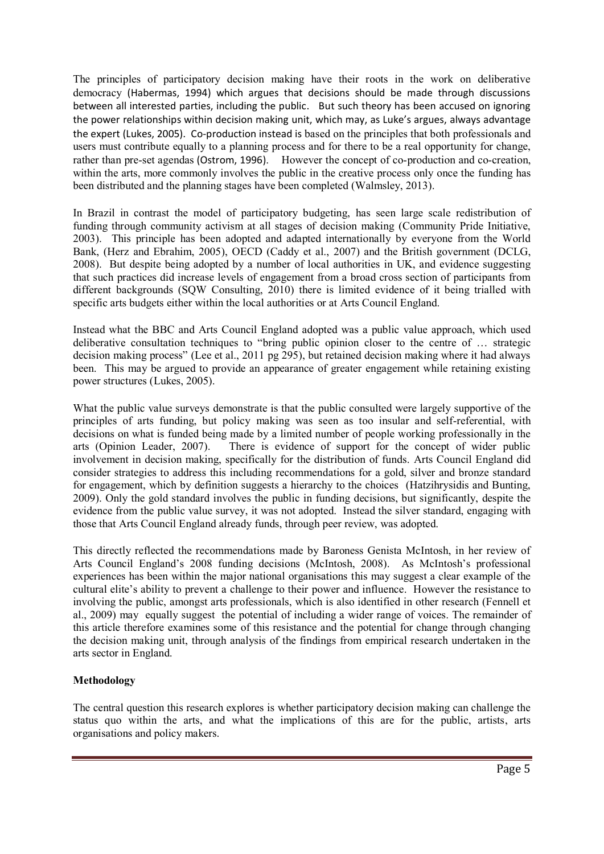The principles of participatory decision making have their roots in the work on deliberative democracy [\(Habermas, 1994\)](#page-14-9) which argues that decisions should be made through discussions between all interested parties, including the public. But such theory has been accused on ignoring the power relationships within decision making unit, which may, as Luke's argues, always advantage the expert [\(Lukes, 2005\)](#page-15-2). Co-production instead is based on the principles that both professionals and users must contribute equally to a planning process and for there to be a real opportunity for change, rather than pre-set agendas [\(Ostrom, 1996\)](#page-15-6). However the concept of co-production and co-creation, within the arts, more commonly involves the public in the creative process only once the funding has been distributed and the planning stages have been completed [\(Walmsley, 2013\)](#page-16-1).

In Brazil in contrast the model of participatory budgeting, has seen large scale redistribution of funding through community activism at all stages of decision making [\(Community Pride Initiative,](#page-13-7)  [2003\)](#page-13-7). This principle has been adopted and adapted internationally by everyone from the World Bank, [\(Herz and Ebrahim, 2005\)](#page-14-10), OECD [\(Caddy et al., 2007\)](#page-13-8) and the British government [\(DCLG,](#page-13-9)  [2008\)](#page-13-9). But despite being adopted by a number of local authorities in UK, and evidence suggesting that such practices did increase levels of engagement from a broad cross section of participants from different backgrounds [\(SQW Consulting, 2010\)](#page-15-7) there is limited evidence of it being trialled with specific arts budgets either within the local authorities or at Arts Council England.

Instead what the BBC and Arts Council England adopted was a public value approach, which used deliberative consultation techniques to "bring public opinion closer to the centre of … strategic decision making process" [\(Lee et al., 2011 pg 295\)](#page-15-8), but retained decision making where it had always been. This may be argued to provide an appearance of greater engagement while retaining existing power structures [\(Lukes, 2005\)](#page-15-2).

What the public value surveys demonstrate is that the public consulted were largely supportive of the principles of arts funding, but policy making was seen as too insular and self-referential, with decisions on what is funded being made by a limited number of people working professionally in the arts [\(Opinion Leader, 2007\)](#page-15-9). There is evidence of support for the concept of wider public involvement in decision making, specifically for the distribution of funds. Arts Council England did consider strategies to address this including recommendations for a gold, silver and bronze standard for engagement, which by definition suggests a hierarchy to the choices [\(Hatzihrysidis and Bunting,](#page-14-11)  [2009\)](#page-14-11). Only the gold standard involves the public in funding decisions, but significantly, despite the evidence from the public value survey, it was not adopted. Instead the silver standard, engaging with those that Arts Council England already funds, through peer review, was adopted.

This directly reflected the recommendations made by Baroness Genista McIntosh, in her review of Arts Council England's 2008 funding decisions [\(McIntosh, 2008\)](#page-15-10). As McIntosh's professional experiences has been within the major national organisations this may suggest a clear example of the cultural elite's ability to prevent a challenge to their power and influence. However the resistance to involving the public, amongst arts professionals, which is also identified in other research [\(Fennell et](#page-14-12)  [al., 2009\)](#page-14-12) may equally suggest the potential of including a wider range of voices. The remainder of this article therefore examines some of this resistance and the potential for change through changing the decision making unit, through analysis of the findings from empirical research undertaken in the arts sector in England.

## **Methodology**

The central question this research explores is whether participatory decision making can challenge the status quo within the arts, and what the implications of this are for the public, artists, arts organisations and policy makers.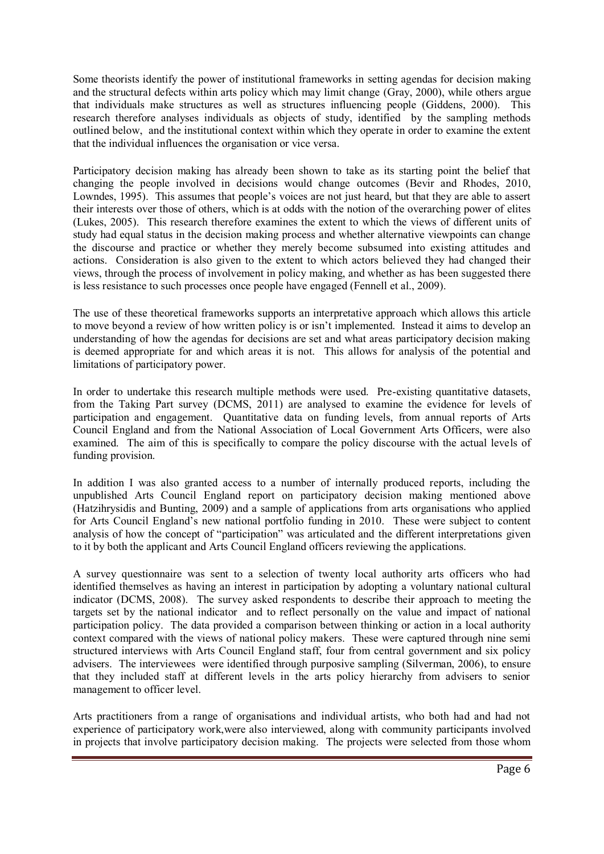Some theorists identify the power of institutional frameworks in setting agendas for decision making and the structural defects within arts policy which may limit change [\(Gray, 2000\)](#page-14-13), while others argue that individuals make structures as well as structures influencing people [\(Giddens, 2000\)](#page-14-14). This research therefore analyses individuals as objects of study, identified by the sampling methods outlined below, and the institutional context within which they operate in order to examine the extent that the individual influences the organisation or vice versa.

Participatory decision making has already been shown to take as its starting point the belief that changing the people involved in decisions would change outcomes [\(Bevir and Rhodes, 2010,](#page-13-1) [Lowndes, 1995\)](#page-15-11). This assumes that people's voices are not just heard, but that they are able to assert their interests over those of others, which is at odds with the notion of the overarching power of elites [\(Lukes, 2005\)](#page-15-2). This research therefore examines the extent to which the views of different units of study had equal status in the decision making process and whether alternative viewpoints can change the discourse and practice or whether they merely become subsumed into existing attitudes and actions. Consideration is also given to the extent to which actors believed they had changed their views, through the process of involvement in policy making, and whether as has been suggested there is less resistance to such processes once people have engaged [\(Fennell et al., 2009\)](#page-14-12).

The use of these theoretical frameworks supports an interpretative approach which allows this article to move beyond a review of how written policy is or isn't implemented. Instead it aims to develop an understanding of how the agendas for decisions are set and what areas participatory decision making is deemed appropriate for and which areas it is not. This allows for analysis of the potential and limitations of participatory power.

In order to undertake this research multiple methods were used. Pre-existing quantitative datasets, from the Taking Part survey [\(DCMS, 2011\)](#page-13-4) are analysed to examine the evidence for levels of participation and engagement. Quantitative data on funding levels, from annual reports of Arts Council England and from the National Association of Local Government Arts Officers, were also examined. The aim of this is specifically to compare the policy discourse with the actual levels of funding provision.

In addition I was also granted access to a number of internally produced reports, including the unpublished Arts Council England report on participatory decision making mentioned above [\(Hatzihrysidis and Bunting, 2009\)](#page-14-11) and a sample of applications from arts organisations who applied for Arts Council England's new national portfolio funding in 2010. These were subject to content analysis of how the concept of "participation" was articulated and the different interpretations given to it by both the applicant and Arts Council England officers reviewing the applications.

A survey questionnaire was sent to a selection of twenty local authority arts officers who had identified themselves as having an interest in participation by adopting a voluntary national cultural indicator [\(DCMS, 2008\)](#page-13-10). The survey asked respondents to describe their approach to meeting the targets set by the national indicator and to reflect personally on the value and impact of national participation policy. The data provided a comparison between thinking or action in a local authority context compared with the views of national policy makers. These were captured through nine semi structured interviews with Arts Council England staff, four from central government and six policy advisers. The interviewees were identified through purposive sampling [\(Silverman, 2006\)](#page-15-12), to ensure that they included staff at different levels in the arts policy hierarchy from advisers to senior management to officer level.

Arts practitioners from a range of organisations and individual artists, who both had and had not experience of participatory work,were also interviewed, along with community participants involved in projects that involve participatory decision making. The projects were selected from those whom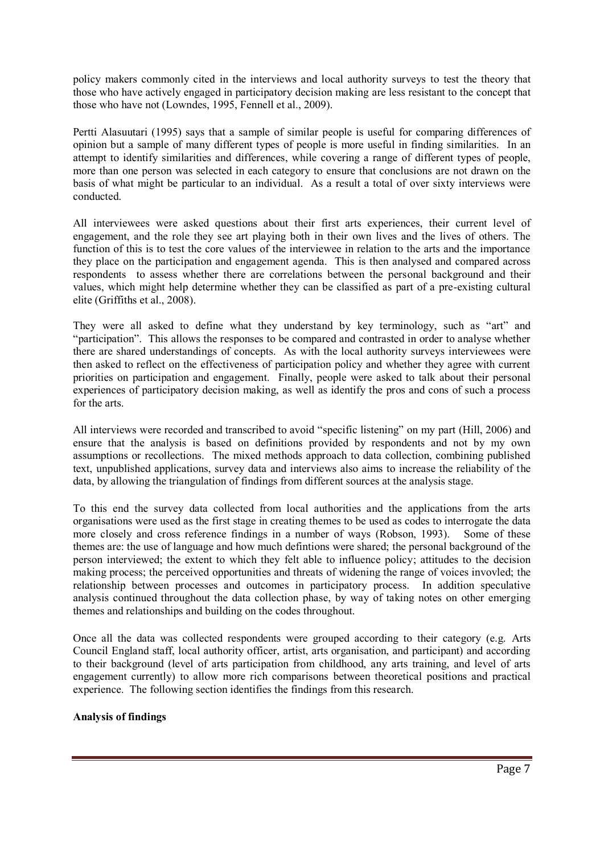policy makers commonly cited in the interviews and local authority surveys to test the theory that those who have actively engaged in participatory decision making are less resistant to the concept that those who have not [\(Lowndes, 1995,](#page-15-11) [Fennell et al., 2009\)](#page-14-12).

Pertti Alasuutari [\(1995\)](#page-12-2) says that a sample of similar people is useful for comparing differences of opinion but a sample of many different types of people is more useful in finding similarities. In an attempt to identify similarities and differences, while covering a range of different types of people, more than one person was selected in each category to ensure that conclusions are not drawn on the basis of what might be particular to an individual. As a result a total of over sixty interviews were conducted.

All interviewees were asked questions about their first arts experiences, their current level of engagement, and the role they see art playing both in their own lives and the lives of others. The function of this is to test the core values of the interviewee in relation to the arts and the importance they place on the participation and engagement agenda. This is then analysed and compared across respondents to assess whether there are correlations between the personal background and their values, which might help determine whether they can be classified as part of a pre-existing cultural elite [\(Griffiths et al., 2008\)](#page-14-2).

They were all asked to define what they understand by key terminology, such as "art" and "participation". This allows the responses to be compared and contrasted in order to analyse whether there are shared understandings of concepts. As with the local authority surveys interviewees were then asked to reflect on the effectiveness of participation policy and whether they agree with current priorities on participation and engagement. Finally, people were asked to talk about their personal experiences of participatory decision making, as well as identify the pros and cons of such a process for the arts.

All interviews were recorded and transcribed to avoid "specific listening" on my part [\(Hill, 2006\)](#page-14-15) and ensure that the analysis is based on definitions provided by respondents and not by my own assumptions or recollections. The mixed methods approach to data collection, combining published text, unpublished applications, survey data and interviews also aims to increase the reliability of the data, by allowing the triangulation of findings from different sources at the analysis stage.

To this end the survey data collected from local authorities and the applications from the arts organisations were used as the first stage in creating themes to be used as codes to interrogate the data more closely and cross reference findings in a number of ways [\(Robson, 1993\)](#page-15-13). Some of these themes are: the use of language and how much defintions were shared; the personal background of the person interviewed; the extent to which they felt able to influence policy; attitudes to the decision making process; the perceived opportunities and threats of widening the range of voices invovled; the relationship between processes and outcomes in participatory process. In addition speculative analysis continued throughout the data collection phase, by way of taking notes on other emerging themes and relationships and building on the codes throughout.

Once all the data was collected respondents were grouped according to their category (e.g. Arts Council England staff, local authority officer, artist, arts organisation, and participant) and according to their background (level of arts participation from childhood, any arts training, and level of arts engagement currently) to allow more rich comparisons between theoretical positions and practical experience. The following section identifies the findings from this research.

## **Analysis of findings**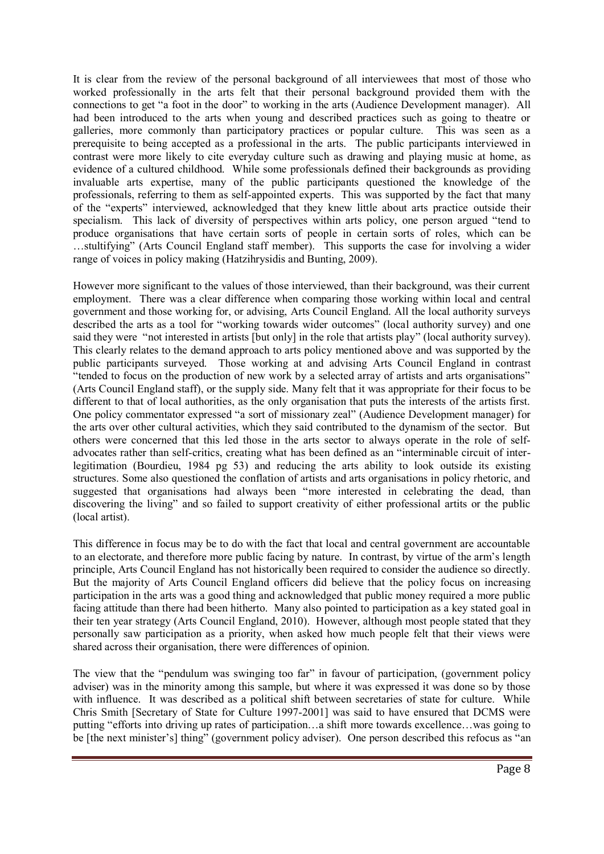It is clear from the review of the personal background of all interviewees that most of those who worked professionally in the arts felt that their personal background provided them with the connections to get "a foot in the door" to working in the arts (Audience Development manager). All had been introduced to the arts when young and described practices such as going to theatre or galleries, more commonly than participatory practices or popular culture. This was seen as a prerequisite to being accepted as a professional in the arts. The public participants interviewed in contrast were more likely to cite everyday culture such as drawing and playing music at home, as evidence of a cultured childhood. While some professionals defined their backgrounds as providing invaluable arts expertise, many of the public participants questioned the knowledge of the professionals, referring to them as self-appointed experts. This was supported by the fact that many of the "experts" interviewed, acknowledged that they knew little about arts practice outside their specialism. This lack of diversity of perspectives within arts policy, one person argued "tend to produce organisations that have certain sorts of people in certain sorts of roles, which can be …stultifying" (Arts Council England staff member). This supports the case for involving a wider range of voices in policy making [\(Hatzihrysidis and Bunting, 2009\)](#page-14-11).

However more significant to the values of those interviewed, than their background, was their current employment. There was a clear difference when comparing those working within local and central government and those working for, or advising, Arts Council England. All the local authority surveys described the arts as a tool for "working towards wider outcomes" (local authority survey) and one said they were "not interested in artists [but only] in the role that artists play" (local authority survey). This clearly relates to the demand approach to arts policy mentioned above and was supported by the public participants surveyed. Those working at and advising Arts Council England in contrast "tended to focus on the production of new work by a selected array of artists and arts organisations" (Arts Council England staff), or the supply side. Many felt that it was appropriate for their focus to be different to that of local authorities, as the only organisation that puts the interests of the artists first. One policy commentator expressed "a sort of missionary zeal" (Audience Development manager) for the arts over other cultural activities, which they said contributed to the dynamism of the sector. But others were concerned that this led those in the arts sector to always operate in the role of selfadvocates rather than self-critics, creating what has been defined as an "interminable circuit of interlegitimation [\(Bourdieu, 1984 pg 53\)](#page-13-11) and reducing the arts ability to look outside its existing structures. Some also questioned the conflation of artists and arts organisations in policy rhetoric, and suggested that organisations had always been "more interested in celebrating the dead, than discovering the living" and so failed to support creativity of either professional artits or the public (local artist).

This difference in focus may be to do with the fact that local and central government are accountable to an electorate, and therefore more public facing by nature. In contrast, by virtue of the arm's length principle, Arts Council England has not historically been required to consider the audience so directly. But the majority of Arts Council England officers did believe that the policy focus on increasing participation in the arts was a good thing and acknowledged that public money required a more public facing attitude than there had been hitherto. Many also pointed to participation as a key stated goal in their ten year strategy [\(Arts Council England, 2010\)](#page-12-3). However, although most people stated that they personally saw participation as a priority, when asked how much people felt that their views were shared across their organisation, there were differences of opinion.

The view that the "pendulum was swinging too far" in favour of participation, (government policy adviser) was in the minority among this sample, but where it was expressed it was done so by those with influence. It was described as a political shift between secretaries of state for culture. While Chris Smith [Secretary of State for Culture 1997-2001] was said to have ensured that DCMS were putting "efforts into driving up rates of participation…a shift more towards excellence…was going to be [the next minister's] thing" (government policy adviser). One person described this refocus as "an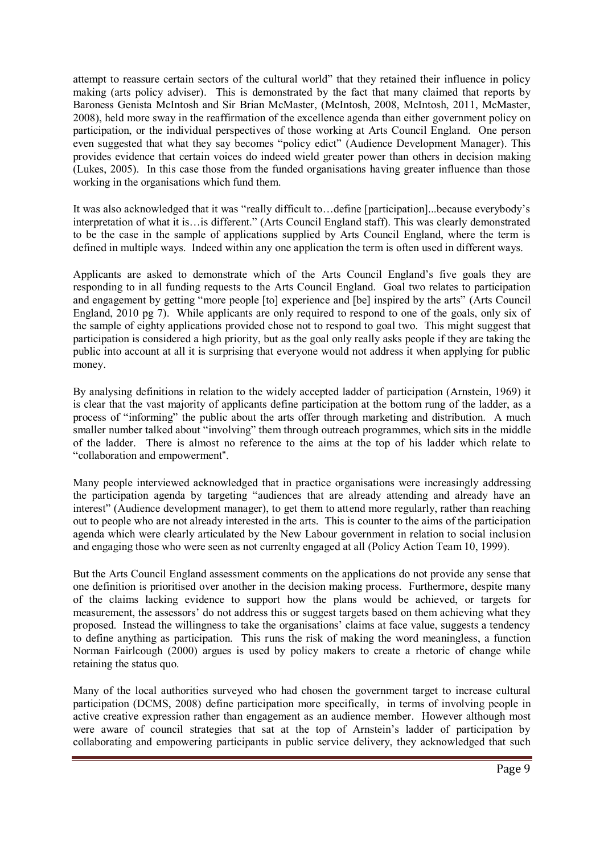attempt to reassure certain sectors of the cultural world" that they retained their influence in policy making (arts policy adviser). This is demonstrated by the fact that many claimed that reports by Baroness Genista McIntosh and Sir Brian McMaster, [\(McIntosh, 2008,](#page-15-10) [McIntosh, 2011,](#page-15-14) [McMaster,](#page-15-1)  [2008\)](#page-15-1), held more sway in the reaffirmation of the excellence agenda than either government policy on participation, or the individual perspectives of those working at Arts Council England. One person even suggested that what they say becomes "policy edict" (Audience Development Manager). This provides evidence that certain voices do indeed wield greater power than others in decision making [\(Lukes, 2005\)](#page-15-2). In this case those from the funded organisations having greater influence than those working in the organisations which fund them.

It was also acknowledged that it was "really difficult to…define [participation]...because everybody's interpretation of what it is…is different." (Arts Council England staff). This was clearly demonstrated to be the case in the sample of applications supplied by Arts Council England, where the term is defined in multiple ways. Indeed within any one application the term is often used in different ways.

Applicants are asked to demonstrate which of the Arts Council England's five goals they are responding to in all funding requests to the Arts Council England. Goal two relates to participation and engagement by getting "more people [to] experience and [be] inspired by the arts" [\(Arts Council](#page-12-3)  [England, 2010 pg 7\)](#page-12-3). While applicants are only required to respond to one of the goals, only six of the sample of eighty applications provided chose not to respond to goal two. This might suggest that participation is considered a high priority, but as the goal only really asks people if they are taking the public into account at all it is surprising that everyone would not address it when applying for public money.

By analysing definitions in relation to the widely accepted ladder of participation [\(Arnstein, 1969\)](#page-12-4) it is clear that the vast majority of applicants define participation at the bottom rung of the ladder, as a process of "informing" the public about the arts offer through marketing and distribution. A much smaller number talked about "involving" them through outreach programmes, which sits in the middle of the ladder. There is almost no reference to the aims at the top of his ladder which relate to "collaboration and empowerment".

Many people interviewed acknowledged that in practice organisations were increasingly addressing the participation agenda by targeting "audiences that are already attending and already have an interest" (Audience development manager), to get them to attend more regularly, rather than reaching out to people who are not already interested in the arts. This is counter to the aims of the participation agenda which were clearly articulated by the New Labour government in relation to social inclusion and engaging those who were seen as not currenlty engaged at all [\(Policy Action Team 10, 1999\)](#page-15-15).

But the Arts Council England assessment comments on the applications do not provide any sense that one definition is prioritised over another in the decision making process. Furthermore, despite many of the claims lacking evidence to support how the plans would be achieved, or targets for measurement, the assessors' do not address this or suggest targets based on them achieving what they proposed. Instead the willingness to take the organisations' claims at face value, suggests a tendency to define anything as participation. This runs the risk of making the word meaningless, a function Norman Fairlcough [\(2000\)](#page-14-16) argues is used by policy makers to create a rhetoric of change while retaining the status quo.

Many of the local authorities surveyed who had chosen the government target to increase cultural participation [\(DCMS, 2008\)](#page-13-10) define participation more specifically, in terms of involving people in active creative expression rather than engagement as an audience member. However although most were aware of council strategies that sat at the top of Arnstein's ladder of participation by collaborating and empowering participants in public service delivery, they acknowledged that such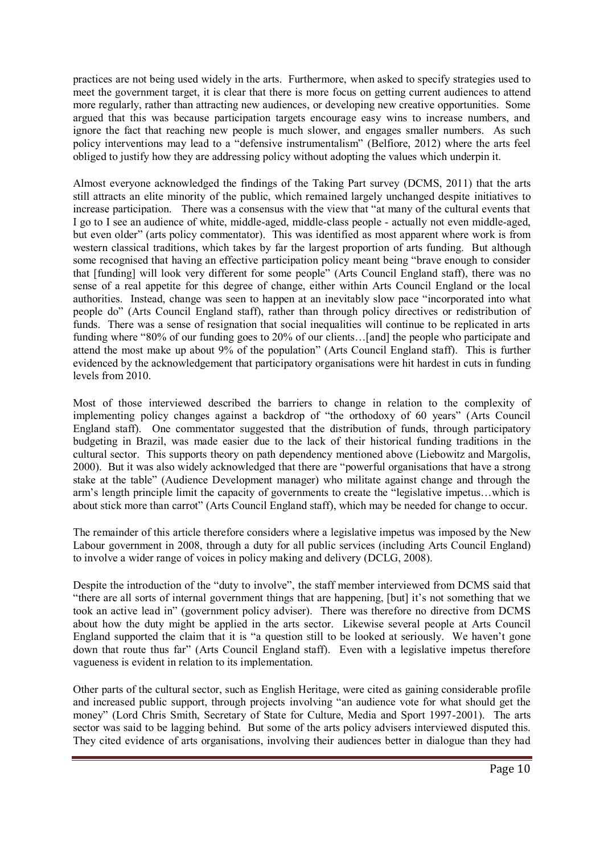practices are not being used widely in the arts. Furthermore, when asked to specify strategies used to meet the government target, it is clear that there is more focus on getting current audiences to attend more regularly, rather than attracting new audiences, or developing new creative opportunities. Some argued that this was because participation targets encourage easy wins to increase numbers, and ignore the fact that reaching new people is much slower, and engages smaller numbers. As such policy interventions may lead to a "defensive instrumentalism" [\(Belfiore, 2012\)](#page-13-12) where the arts feel obliged to justify how they are addressing policy without adopting the values which underpin it.

Almost everyone acknowledged the findings of the Taking Part survey [\(DCMS, 2011\)](#page-13-4) that the arts still attracts an elite minority of the public, which remained largely unchanged despite initiatives to increase participation. There was a consensus with the view that "at many of the cultural events that I go to I see an audience of white, middle-aged, middle-class people - actually not even middle-aged, but even older" (arts policy commentator). This was identified as most apparent where work is from western classical traditions, which takes by far the largest proportion of arts funding. But although some recognised that having an effective participation policy meant being "brave enough to consider that [funding] will look very different for some people" (Arts Council England staff), there was no sense of a real appetite for this degree of change, either within Arts Council England or the local authorities. Instead, change was seen to happen at an inevitably slow pace "incorporated into what people do" (Arts Council England staff), rather than through policy directives or redistribution of funds. There was a sense of resignation that social inequalities will continue to be replicated in arts funding where "80% of our funding goes to 20% of our clients…[and] the people who participate and attend the most make up about 9% of the population" (Arts Council England staff). This is further evidenced by the acknowledgement that participatory organisations were hit hardest in cuts in funding levels from 2010.

Most of those interviewed described the barriers to change in relation to the complexity of implementing policy changes against a backdrop of "the orthodoxy of 60 years" (Arts Council England staff). One commentator suggested that the distribution of funds, through participatory budgeting in Brazil, was made easier due to the lack of their historical funding traditions in the cultural sector. This supports theory on path dependency mentioned above [\(Liebowitz and Margolis,](#page-15-4)  [2000\)](#page-15-4). But it was also widely acknowledged that there are "powerful organisations that have a strong stake at the table" (Audience Development manager) who militate against change and through the arm's length principle limit the capacity of governments to create the "legislative impetus…which is about stick more than carrot" (Arts Council England staff), which may be needed for change to occur.

The remainder of this article therefore considers where a legislative impetus was imposed by the New Labour government in 2008, through a duty for all public services (including Arts Council England) to involve a wider range of voices in policy making and delivery [\(DCLG, 2008\)](#page-13-9).

Despite the introduction of the "duty to involve", the staff member interviewed from DCMS said that "there are all sorts of internal government things that are happening, [but] it's not something that we took an active lead in" (government policy adviser). There was therefore no directive from DCMS about how the duty might be applied in the arts sector. Likewise several people at Arts Council England supported the claim that it is "a question still to be looked at seriously. We haven't gone down that route thus far" (Arts Council England staff). Even with a legislative impetus therefore vagueness is evident in relation to its implementation.

Other parts of the cultural sector, such as English Heritage, were cited as gaining considerable profile and increased public support, through projects involving "an audience vote for what should get the money" (Lord Chris Smith, Secretary of State for Culture, Media and Sport 1997-2001). The arts sector was said to be lagging behind. But some of the arts policy advisers interviewed disputed this. They cited evidence of arts organisations, involving their audiences better in dialogue than they had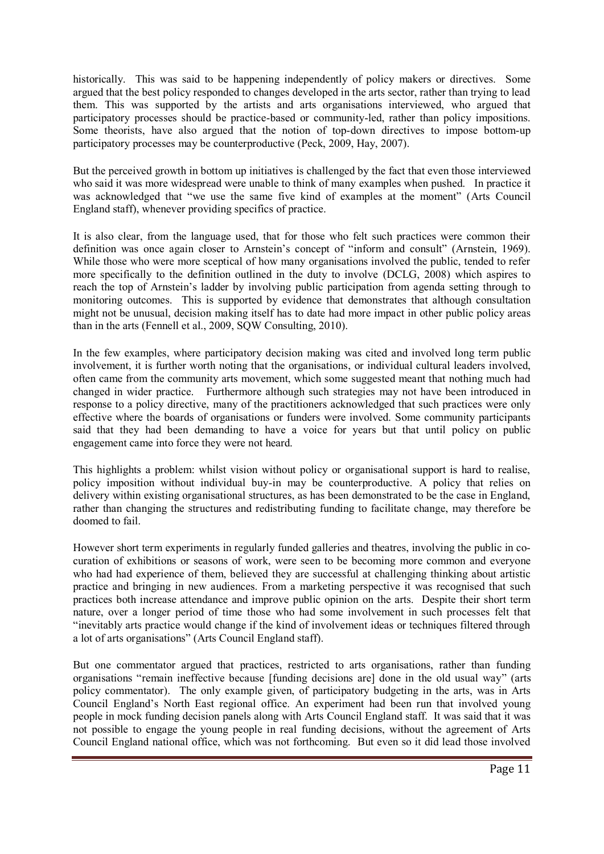historically. This was said to be happening independently of policy makers or directives. Some argued that the best policy responded to changes developed in the arts sector, rather than trying to lead them. This was supported by the artists and arts organisations interviewed, who argued that participatory processes should be practice-based or community-led, rather than policy impositions. Some theorists, have also argued that the notion of top-down directives to impose bottom-up participatory processes may be counterproductive [\(Peck, 2009,](#page-15-16) [Hay, 2007\)](#page-14-17).

But the perceived growth in bottom up initiatives is challenged by the fact that even those interviewed who said it was more widespread were unable to think of many examples when pushed. In practice it was acknowledged that "we use the same five kind of examples at the moment" (Arts Council England staff), whenever providing specifics of practice.

It is also clear, from the language used, that for those who felt such practices were common their definition was once again closer to Arnstein's concept of "inform and consult" [\(Arnstein, 1969\)](#page-12-4). While those who were more sceptical of how many organisations involved the public, tended to refer more specifically to the definition outlined in the duty to involve [\(DCLG, 2008\)](#page-13-9) which aspires to reach the top of Arnstein's ladder by involving public participation from agenda setting through to monitoring outcomes. This is supported by evidence that demonstrates that although consultation might not be unusual, decision making itself has to date had more impact in other public policy areas than in the arts [\(Fennell et al., 2009,](#page-14-12) [SQW Consulting, 2010\)](#page-15-7).

In the few examples, where participatory decision making was cited and involved long term public involvement, it is further worth noting that the organisations, or individual cultural leaders involved, often came from the community arts movement, which some suggested meant that nothing much had changed in wider practice. Furthermore although such strategies may not have been introduced in response to a policy directive, many of the practitioners acknowledged that such practices were only effective where the boards of organisations or funders were involved. Some community participants said that they had been demanding to have a voice for years but that until policy on public engagement came into force they were not heard.

This highlights a problem: whilst vision without policy or organisational support is hard to realise, policy imposition without individual buy-in may be counterproductive. A policy that relies on delivery within existing organisational structures, as has been demonstrated to be the case in England rather than changing the structures and redistributing funding to facilitate change, may therefore be doomed to fail.

However short term experiments in regularly funded galleries and theatres, involving the public in cocuration of exhibitions or seasons of work, were seen to be becoming more common and everyone who had had experience of them, believed they are successful at challenging thinking about artistic practice and bringing in new audiences. From a marketing perspective it was recognised that such practices both increase attendance and improve public opinion on the arts. Despite their short term nature, over a longer period of time those who had some involvement in such processes felt that "inevitably arts practice would change if the kind of involvement ideas or techniques filtered through a lot of arts organisations" (Arts Council England staff).

But one commentator argued that practices, restricted to arts organisations, rather than funding organisations "remain ineffective because [funding decisions are] done in the old usual way" (arts policy commentator). The only example given, of participatory budgeting in the arts, was in Arts Council England's North East regional office. An experiment had been run that involved young people in mock funding decision panels along with Arts Council England staff. It was said that it was not possible to engage the young people in real funding decisions, without the agreement of Arts Council England national office, which was not forthcoming. But even so it did lead those involved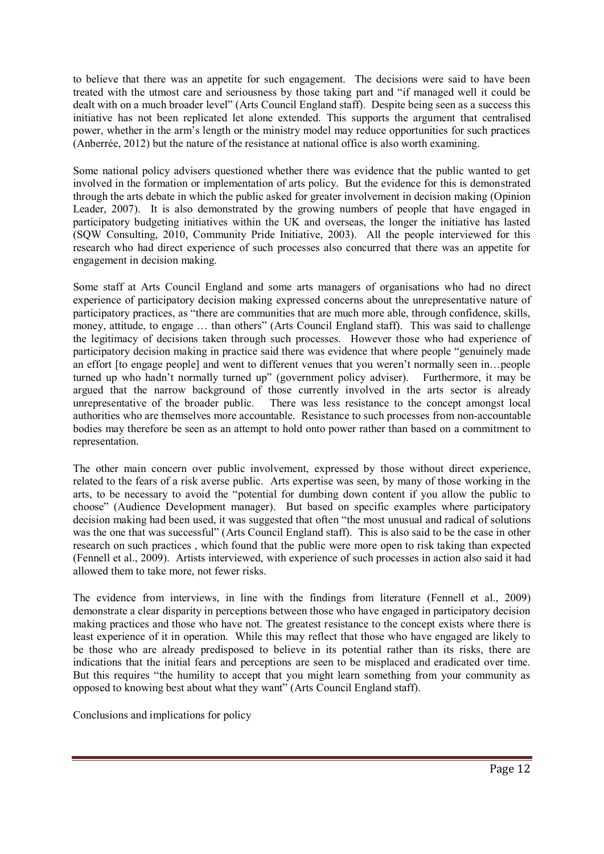to believe that there was an appetite for such engagement. The decisions were said to have been treated with the utmost care and seriousness by those taking part and "if managed well it could be dealt with on a much broader level" (Arts Council England staff). Despite being seen as a success this initiative has not been replicated let alone extended. This supports the argument that centralised power, whether in the arm's length or the ministry model may reduce opportunities for such practices [\(Anberrée, 2012\)](#page-12-0) but the nature of the resistance at national office is also worth examining.

Some national policy advisers questioned whether there was evidence that the public wanted to get involved in the formation or implementation of arts policy. But the evidence for this is demonstrated through the arts debate in which the public asked for greater involvement in decision making [\(Opinion](#page-15-9)  [Leader, 2007\)](#page-15-9). It is also demonstrated by the growing numbers of people that have engaged in participatory budgeting initiatives within the UK and overseas, the longer the initiative has lasted [\(SQW Consulting, 2010,](#page-15-7) [Community Pride Initiative, 2003\)](#page-13-7). All the people interviewed for this research who had direct experience of such processes also concurred that there was an appetite for engagement in decision making.

Some staff at Arts Council England and some arts managers of organisations who had no direct experience of participatory decision making expressed concerns about the unrepresentative nature of participatory practices, as "there are communities that are much more able, through confidence, skills, money, attitude, to engage … than others" (Arts Council England staff). This was said to challenge the legitimacy of decisions taken through such processes. However those who had experience of participatory decision making in practice said there was evidence that where people "genuinely made an effort [to engage people] and went to different venues that you weren't normally seen in…people turned up who hadn't normally turned up" (government policy adviser). Furthermore, it may be argued that the narrow background of those currently involved in the arts sector is already unrepresentative of the broader public. There was less resistance to the concept amongst local authorities who are themselves more accountable. Resistance to such processes from non-accountable bodies may therefore be seen as an attempt to hold onto power rather than based on a commitment to representation.

<span id="page-12-2"></span>The other main concern over public involvement, expressed by those without direct experience, related to the fears of a risk averse public. Arts expertise was seen, by many of those working in the arts, to be necessary to avoid the "potential for dumbing down content if you allow the public to choose" (Audience Development manager). But based on specific examples where participatory decision making had been used, it was suggested that often "the most unusual and radical of solutions was the one that was successful" (Arts Council England staff). This is also said to be the case in other research on such practices , which found that the public were more open to risk taking than expected [\(Fennell et al., 2009\)](#page-14-12). Artists interviewed, with experience of such processes in action also said it had allowed them to take more, not fewer risks.

<span id="page-12-4"></span><span id="page-12-0"></span>The evidence from interviews, in line with the findings from literature [\(Fennell et al., 2009\)](#page-14-12) demonstrate a clear disparity in perceptions between those who have engaged in participatory decision making practices and those who have not. The greatest resistance to the concept exists where there is least experience of it in operation. While this may reflect that those who have engaged are likely to be those who are already predisposed to believe in its potential rather than its risks, there are indications that the initial fears and perceptions are seen to be misplaced and eradicated over time. But this requires "the humility to accept that you might learn something from your community as opposed to knowing best about what they want" (Arts Council England staff).

<span id="page-12-3"></span><span id="page-12-1"></span>Conclusions and implications for policy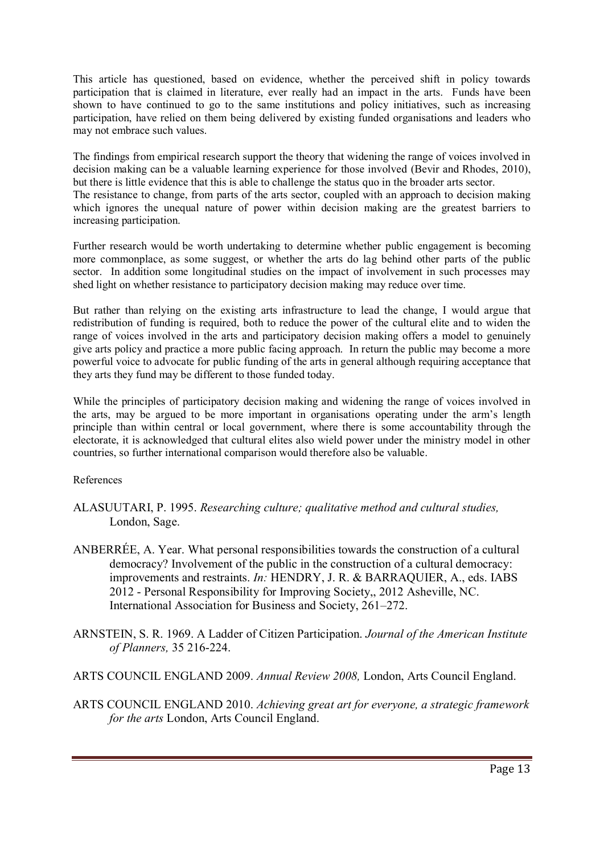<span id="page-13-12"></span>This article has questioned, based on evidence, whether the perceived shift in policy towards participation that is claimed in literature, ever really had an impact in the arts. Funds have been shown to have continued to go to the same institutions and policy initiatives, such as increasing participation, have relied on them being delivered by existing funded organisations and leaders who may not embrace such values.

<span id="page-13-2"></span><span id="page-13-1"></span>The findings from empirical research support the theory that widening the range of voices involved in decision making can be a valuable learning experience for those involved [\(Bevir and Rhodes, 2010\)](#page-13-1), but there is little evidence that this is able to challenge the status quo in the broader arts sector. The resistance to change, from parts of the arts sector, coupled with an approach to decision making which ignores the unequal nature of power within decision making are the greatest barriers to increasing participation.

<span id="page-13-11"></span><span id="page-13-6"></span>Further research would be worth undertaking to determine whether public engagement is becoming more commonplace, as some suggest, or whether the arts do lag behind other parts of the public sector. In addition some longitudinal studies on the impact of involvement in such processes may shed light on whether resistance to participatory decision making may reduce over time.

<span id="page-13-5"></span><span id="page-13-0"></span>But rather than relying on the existing arts infrastructure to lead the change, I would argue that redistribution of funding is required, both to reduce the power of the cultural elite and to widen the range of voices involved in the arts and participatory decision making offers a model to genuinely give arts policy and practice a more public facing approach. In return the public may become a more powerful voice to advocate for public funding of the arts in general although requiring acceptance that they arts they fund may be different to those funded today.

<span id="page-13-8"></span>While the principles of participatory decision making and widening the range of voices involved in the arts, may be argued to be more important in organisations operating under the arm's length principle than within central or local government, where there is some accountability through the electorate, it is acknowledged that cultural elites also wield power under the ministry model in other countries, so further international comparison would therefore also be valuable.

<span id="page-13-7"></span>References

- <span id="page-13-9"></span>ALASUUTARI, P. 1995. *Researching culture; qualitative method and cultural studies,*  London, Sage.
- <span id="page-13-3"></span>ANBERRÉE, A. Year. What personal responsibilities towards the construction of a cultural democracy? Involvement of the public in the construction of a cultural democracy: improvements and restraints. *In:* HENDRY, J. R. & BARRAQUIER, A., eds. IABS 2012 - Personal Responsibility for Improving Society,, 2012 Asheville, NC. International Association for Business and Society, 261–272.
- <span id="page-13-10"></span>ARNSTEIN, S. R. 1969. A Ladder of Citizen Participation. *Journal of the American Institute of Planners,* 35 216-224.
- <span id="page-13-4"></span>ARTS COUNCIL ENGLAND 2009. *Annual Review 2008,* London, Arts Council England.
- ARTS COUNCIL ENGLAND 2010. *Achieving great art for everyone, a strategic framework for the arts* London, Arts Council England.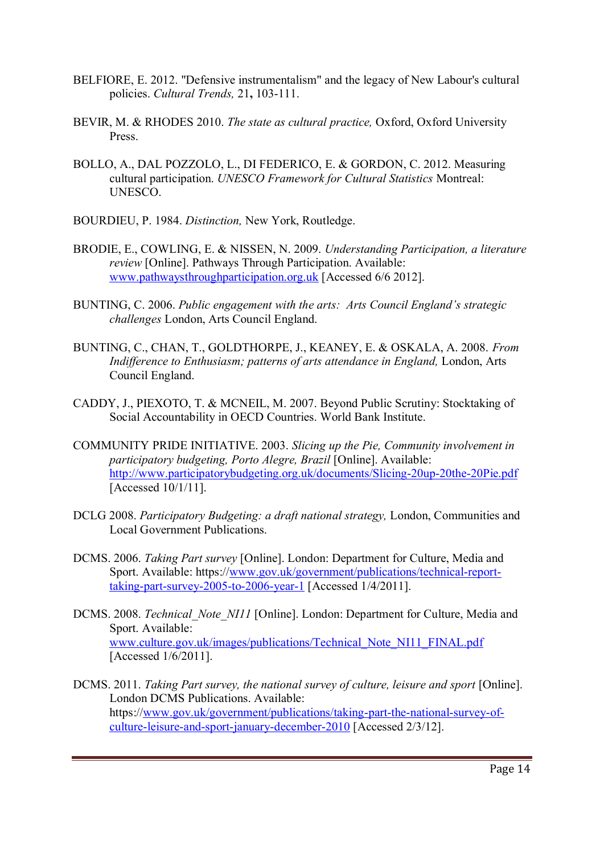- <span id="page-14-3"></span>BELFIORE, E. 2012. "Defensive instrumentalism" and the legacy of New Labour's cultural policies. *Cultural Trends,* 21**,** 103-111.
- <span id="page-14-4"></span>BEVIR, M. & RHODES 2010. *The state as cultural practice,* Oxford, Oxford University **Press**.
- <span id="page-14-16"></span>BOLLO, A., DAL POZZOLO, L., DI FEDERICO, E. & GORDON, C. 2012. Measuring cultural participation. *UNESCO Framework for Cultural Statistics* Montreal: UNESCO.
- <span id="page-14-12"></span>BOURDIEU, P. 1984. *Distinction,* New York, Routledge.
- <span id="page-14-5"></span>BRODIE, E., COWLING, E. & NISSEN, N. 2009. *Understanding Participation, a literature review* [Online]. Pathways Through Participation. Available: [www.pathwaysthroughparticipation.org.uk](http://www.pathwaysthroughparticipation.org.uk/) [Accessed 6/6 2012].
- <span id="page-14-14"></span><span id="page-14-1"></span>BUNTING, C. 2006. *Public engagement with the arts: Arts Council England's strategic challenges* London, Arts Council England.
- <span id="page-14-8"></span>BUNTING, C., CHAN, T., GOLDTHORPE, J., KEANEY, E. & OSKALA, A. 2008. *From Indifference to Enthusiasm; patterns of arts attendance in England, London, Arts* Council England.
- <span id="page-14-13"></span><span id="page-14-0"></span>CADDY, J., PIEXOTO, T. & MCNEIL, M. 2007. Beyond Public Scrutiny: Stocktaking of Social Accountability in OECD Countries. World Bank Institute.
- <span id="page-14-2"></span>COMMUNITY PRIDE INITIATIVE. 2003. *Slicing up the Pie, Community involvement in participatory budgeting, Porto Alegre, Brazil* [Online]. Available: <http://www.participatorybudgeting.org.uk/documents/Slicing-20up-20the-20Pie.pdf> [Accessed 10/1/11].
- <span id="page-14-11"></span><span id="page-14-9"></span>DCLG 2008. *Participatory Budgeting: a draft national strategy,* London, Communities and Local Government Publications.
- <span id="page-14-17"></span>DCMS. 2006. *Taking Part survey* [Online]. London: Department for Culture, Media and Sport. Available: https:/[/www.gov.uk/government/publications/technical-report](http://www.gov.uk/government/publications/technical-report-taking-part-survey-2005-to-2006-year-1)[taking-part-survey-2005-to-2006-year-1](http://www.gov.uk/government/publications/technical-report-taking-part-survey-2005-to-2006-year-1) [Accessed 1/4/2011].
- <span id="page-14-10"></span>DCMS. 2008. *Technical\_Note\_NI11* [Online]. London: Department for Culture, Media and Sport. Available: [www.culture.gov.uk/images/publications/Technical\\_Note\\_NI11\\_FINAL.pdf](http://www.culture.gov.uk/images/publications/Technical_Note_NI11_FINAL.pdf) [Accessed 1/6/2011].
- <span id="page-14-15"></span><span id="page-14-7"></span><span id="page-14-6"></span>DCMS. 2011. *Taking Part survey, the national survey of culture, leisure and sport* [Online]. London DCMS Publications. Available: https:/[/www.gov.uk/government/publications/taking-part-the-national-survey-of](http://www.gov.uk/government/publications/taking-part-the-national-survey-of-culture-leisure-and-sport-january-december-2010)[culture-leisure-and-sport-january-december-2010](http://www.gov.uk/government/publications/taking-part-the-national-survey-of-culture-leisure-and-sport-january-december-2010) [Accessed 2/3/12].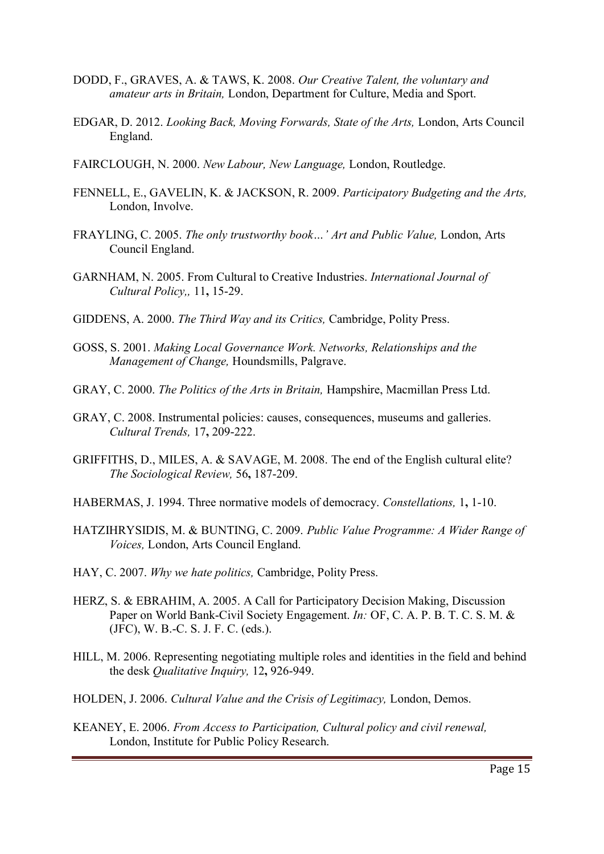- <span id="page-15-8"></span>DODD, F., GRAVES, A. & TAWS, K. 2008. *Our Creative Talent, the voluntary and amateur arts in Britain,* London, Department for Culture, Media and Sport.
- <span id="page-15-4"></span>EDGAR, D. 2012. *Looking Back, Moving Forwards, State of the Arts,* London, Arts Council England.
- FAIRCLOUGH, N. 2000. *New Labour, New Language,* London, Routledge.
- <span id="page-15-11"></span>FENNELL, E., GAVELIN, K. & JACKSON, R. 2009. *Participatory Budgeting and the Arts,* London, Involve.
- <span id="page-15-2"></span>FRAYLING, C. 2005. *The only trustworthy book…' Art and Public Value,* London, Arts Council England.
- <span id="page-15-3"></span>GARNHAM, N. 2005. From Cultural to Creative Industries. *International Journal of Cultural Policy,,* 11**,** 15-29.
- <span id="page-15-10"></span>GIDDENS, A. 2000. *The Third Way and its Critics,* Cambridge, Polity Press.
- <span id="page-15-14"></span>GOSS, S. 2001. *Making Local Governance Work. Networks, Relationships and the Management of Change,* Houndsmills, Palgrave.
- <span id="page-15-1"></span>GRAY, C. 2000. *The Politics of the Arts in Britain,* Hampshire, Macmillan Press Ltd.
- <span id="page-15-5"></span>GRAY, C. 2008. Instrumental policies: causes, consequences, museums and galleries. *Cultural Trends,* 17**,** 209-222.
- GRIFFITHS, D., MILES, A. & SAVAGE, M. 2008. The end of the English cultural elite? *The Sociological Review,* 56**,** 187-209.
- <span id="page-15-9"></span>HABERMAS, J. 1994. Three normative models of democracy. *Constellations,* 1**,** 1-10.
- <span id="page-15-6"></span>HATZIHRYSIDIS, M. & BUNTING, C. 2009. *Public Value Programme: A Wider Range of Voices,* London, Arts Council England.
- <span id="page-15-16"></span>HAY, C. 2007. *Why we hate politics,* Cambridge, Polity Press.
- <span id="page-15-15"></span><span id="page-15-13"></span>HERZ, S. & EBRAHIM, A. 2005. A Call for Participatory Decision Making, Discussion Paper on World Bank-Civil Society Engagement. *In:* OF, C. A. P. B. T. C. S. M. & (JFC), W. B.-C. S. J. F. C. (eds.).
- <span id="page-15-12"></span>HILL, M. 2006. Representing negotiating multiple roles and identities in the field and behind the desk *Qualitative Inquiry,* 12**,** 926-949.
- <span id="page-15-7"></span><span id="page-15-0"></span>HOLDEN, J. 2006. *Cultural Value and the Crisis of Legitimacy,* London, Demos.
- KEANEY, E. 2006. *From Access to Participation, Cultural policy and civil renewal,*  London, Institute for Public Policy Research.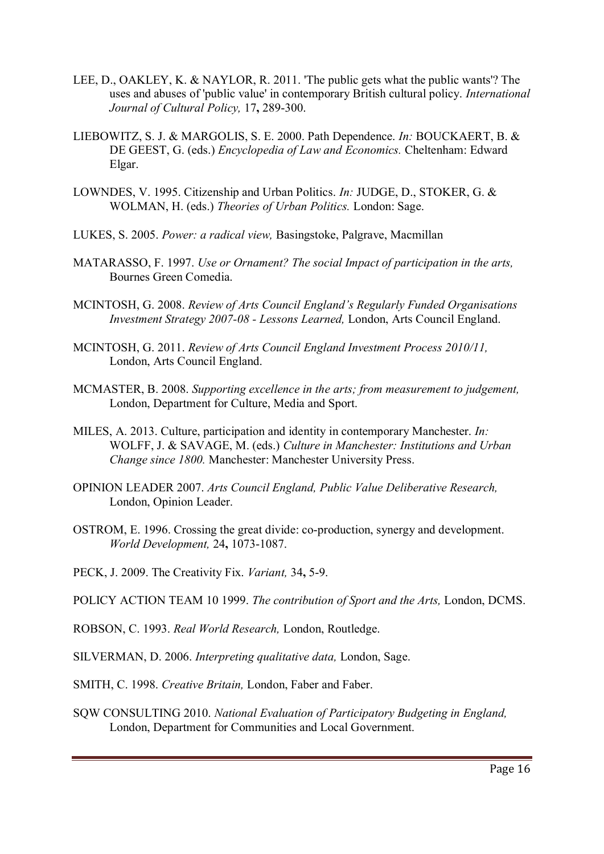- <span id="page-16-0"></span>LEE, D., OAKLEY, K. & NAYLOR, R. 2011. 'The public gets what the public wants'? The uses and abuses of 'public value' in contemporary British cultural policy. *International Journal of Cultural Policy,* 17**,** 289-300.
- <span id="page-16-1"></span>LIEBOWITZ, S. J. & MARGOLIS, S. E. 2000. Path Dependence. *In:* BOUCKAERT, B. & DE GEEST, G. (eds.) *Encyclopedia of Law and Economics.* Cheltenham: Edward Elgar.
- LOWNDES, V. 1995. Citizenship and Urban Politics. *In:* JUDGE, D., STOKER, G. & WOLMAN, H. (eds.) *Theories of Urban Politics.* London: Sage.
- LUKES, S. 2005. *Power: a radical view,* Basingstoke, Palgrave, Macmillan
- MATARASSO, F. 1997. *Use or Ornament? The social Impact of participation in the arts,*  Bournes Green Comedia.
- MCINTOSH, G. 2008. *Review of Arts Council England's Regularly Funded Organisations Investment Strategy 2007-08 - Lessons Learned,* London, Arts Council England.
- MCINTOSH, G. 2011. *Review of Arts Council England Investment Process 2010/11,*  London, Arts Council England.
- MCMASTER, B. 2008. *Supporting excellence in the arts; from measurement to judgement,*  London, Department for Culture, Media and Sport.
- MILES, A. 2013. Culture, participation and identity in contemporary Manchester. *In:* WOLFF, J. & SAVAGE, M. (eds.) *Culture in Manchester: Institutions and Urban Change since 1800.* Manchester: Manchester University Press.
- OPINION LEADER 2007. *Arts Council England, Public Value Deliberative Research,*  London, Opinion Leader.
- OSTROM, E. 1996. Crossing the great divide: co-production, synergy and development. *World Development,* 24**,** 1073-1087.
- PECK, J. 2009. The Creativity Fix. *Variant,* 34**,** 5-9.
- POLICY ACTION TEAM 10 1999. *The contribution of Sport and the Arts,* London, DCMS.
- ROBSON, C. 1993. *Real World Research,* London, Routledge.
- SILVERMAN, D. 2006. *Interpreting qualitative data,* London, Sage.
- SMITH, C. 1998. *Creative Britain,* London, Faber and Faber.
- SQW CONSULTING 2010. *National Evaluation of Participatory Budgeting in England,*  London, Department for Communities and Local Government.